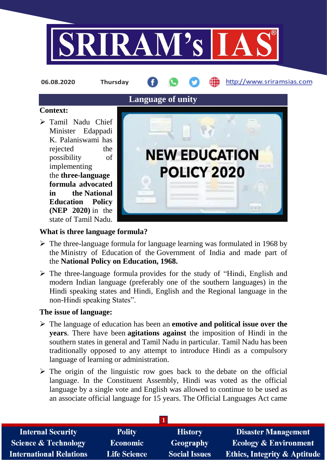

**06.08.2020 Thursday**

http://www.sriramsias.com

#### **Context:**

 Tamil Nadu Chief Minister Edappadi K. Palaniswami has rejected the possibility of implementing the **three-language formula advocated in the National Education Policy (NEP 2020)** in the state of Tamil Nadu.



#### **What is three language formula?**

- $\triangleright$  The three-language formula for language learning was formulated in 1968 by the Ministry of Education of the Government of India and made part of the **National Policy on Education, 1968.**
- $\triangleright$  The three-language formula provides for the study of "Hindi, English and modern Indian language (preferably one of the southern languages) in the Hindi speaking states and Hindi, English and the Regional language in the non-Hindi speaking States".

#### **The issue of language:**

- The language of education has been an **emotive and political issue over the years**. There have been **agitations against** the imposition of Hindi in the southern states in general and Tamil Nadu in particular. Tamil Nadu has been traditionally opposed to any attempt to introduce Hindi as a compulsory language of learning or administration.
- $\triangleright$  The origin of the linguistic row goes back to the debate on the official language. In the Constituent Assembly, Hindi was voted as the official language by a single vote and English was allowed to continue to be used as an associate official language for 15 years. The Official Languages Act came

| <b>Polity</b>       | <b>History</b>       | <b>Disaster Management</b>       |  |  |  |  |
|---------------------|----------------------|----------------------------------|--|--|--|--|
| Economic            | Geography            | <b>Ecology &amp; Environment</b> |  |  |  |  |
| <b>Life Science</b> | <b>Social Issues</b> | Ethics, Integrity & Aptitude     |  |  |  |  |
|                     |                      |                                  |  |  |  |  |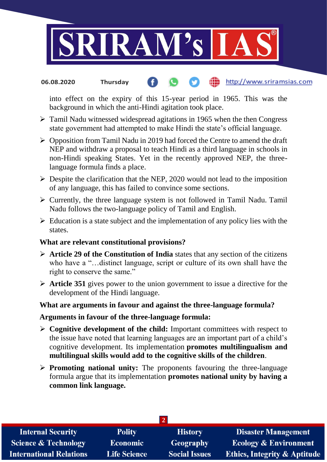

#### http://www.sriramsias.com **06.08.2020 Thursday**

into effect on the expiry of this 15-year period in 1965. This was the background in which the anti-Hindi agitation took place.

- $\triangleright$  Tamil Nadu witnessed widespread agitations in 1965 when the then Congress state government had attempted to make Hindi the state's official language.
- $\triangleright$  Opposition from Tamil Nadu in 2019 had forced the Centre to amend the draft NEP and withdraw a proposal to teach Hindi as a third language in schools in non-Hindi speaking States. Yet in the recently approved NEP, the threelanguage formula finds a place.
- $\triangleright$  Despite the clarification that the NEP, 2020 would not lead to the imposition of any language, this has failed to convince some sections.
- $\triangleright$  Currently, the three language system is not followed in Tamil Nadu. Tamil Nadu follows the two-language policy of Tamil and English.
- $\triangleright$  Education is a state subject and the implementation of any policy lies with the states.

#### **What are relevant constitutional provisions?**

- **Article 29 of the Constitution of India** states that any section of the citizens who have a "…distinct language, script or culture of its own shall have the right to conserve the same."
- **Article 351** gives power to the union government to issue a directive for the development of the Hindi language.

# **What are arguments in favour and against the three-language formula?**

#### **Arguments in favour of the three-language formula:**

- **Cognitive development of the child:** Important committees with respect to the issue have noted that learning languages are an important part of a child's cognitive development. Its implementation **promotes multilingualism and multilingual skills would add to the cognitive skills of the children**.
- **Promoting national unity:** The proponents favouring the three-language formula argue that its implementation **promotes national unity by having a common link language.**

| <b>Internal Security</b>        | <b>Polity</b>       | <b>History</b>       | <b>Disaster Management</b>              |  |  |  |
|---------------------------------|---------------------|----------------------|-----------------------------------------|--|--|--|
| <b>Science &amp; Technology</b> | <b>Economic</b>     | Geography            | <b>Ecology &amp; Environment</b>        |  |  |  |
| <b>International Relations</b>  | <b>Life Science</b> | <b>Social Issues</b> | <b>Ethics, Integrity &amp; Aptitude</b> |  |  |  |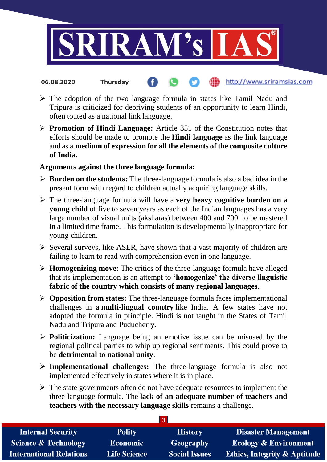

- http://www.sriramsias.com **06.08.2020 Thursday**
- $\triangleright$  The adoption of the two language formula in states like Tamil Nadu and Tripura is criticized for depriving students of an opportunity to learn Hindi, often touted as a national link language.
- **Promotion of Hindi Language:** Article 351 of the Constitution notes that efforts should be made to promote the **Hindi language** as the link language and as a **medium of expression for all the elements of the composite culture of India.**

## **Arguments against the three language formula:**

- **Burden on the students:** The three-language formula is also a bad idea in the present form with regard to children actually acquiring language skills.
- The three-language formula will have a **very heavy cognitive burden on a young child** of five to seven years as each of the Indian languages has a very large number of visual units (aksharas) between 400 and 700, to be mastered in a limited time frame. This formulation is developmentally inappropriate for young children.
- $\triangleright$  Several surveys, like ASER, have shown that a vast majority of children are failing to learn to read with comprehension even in one language.
- **Homogenizing move:** The critics of the three-language formula have alleged that its implementation is an attempt to **'homogenize' the diverse linguistic fabric of the country which consists of many regional languages**.
- **Opposition from states:** The three-language formula faces implementational challenges in a **multi-lingual country** like India. A few states have not adopted the formula in principle. Hindi is not taught in the States of Tamil Nadu and Tripura and Puducherry.
- **Politicization:** Language being an emotive issue can be misused by the regional political parties to whip up regional sentiments. This could prove to be **detrimental to national unity**.
- **Implementational challenges:** The three-language formula is also not implemented effectively in states where it is in place.
- $\triangleright$  The state governments often do not have adequate resources to implement the three-language formula. The **lack of an adequate number of teachers and teachers with the necessary language skills** remains a challenge.

**3**

| <b>Internal Security</b>        | <b>Polity</b>       | <b>History</b>       | <b>Disaster Management</b>              |  |  |
|---------------------------------|---------------------|----------------------|-----------------------------------------|--|--|
| <b>Science &amp; Technology</b> | <b>Economic</b>     | Geography            | <b>Ecology &amp; Environment</b>        |  |  |
| <b>International Relations</b>  | <b>Life Science</b> | <b>Social Issues</b> | <b>Ethics, Integrity &amp; Aptitude</b> |  |  |